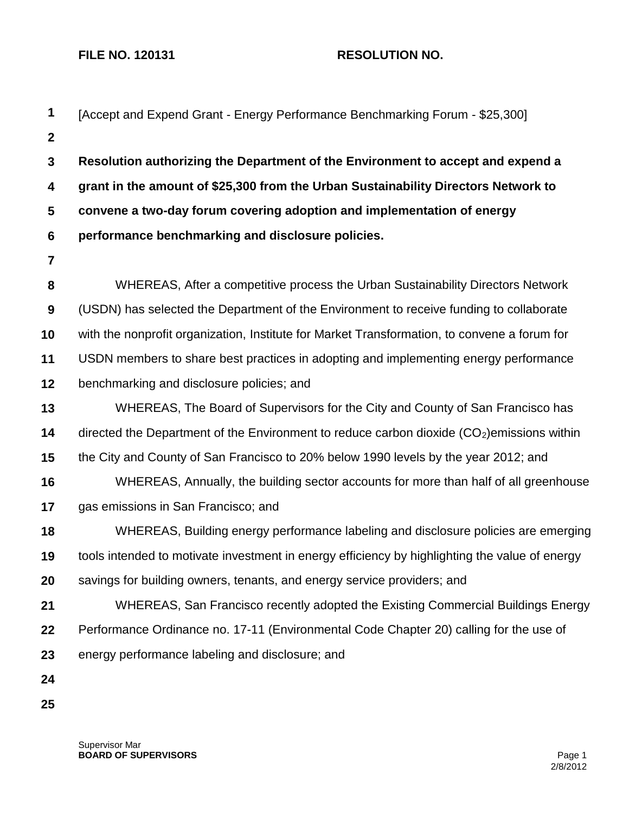## **FILE NO. 120131 RESOLUTION NO.**

| 1              | [Accept and Expend Grant - Energy Performance Benchmarking Forum - \$25,300]                   |  |  |
|----------------|------------------------------------------------------------------------------------------------|--|--|
| $\mathbf{2}$   |                                                                                                |  |  |
| $\mathbf{3}$   | Resolution authorizing the Department of the Environment to accept and expend a                |  |  |
| 4              | grant in the amount of \$25,300 from the Urban Sustainability Directors Network to             |  |  |
| 5              | convene a two-day forum covering adoption and implementation of energy                         |  |  |
| $6\phantom{1}$ | performance benchmarking and disclosure policies.                                              |  |  |
| $\overline{7}$ |                                                                                                |  |  |
| 8              | WHEREAS, After a competitive process the Urban Sustainability Directors Network                |  |  |
| 9              | (USDN) has selected the Department of the Environment to receive funding to collaborate        |  |  |
| 10             | with the nonprofit organization, Institute for Market Transformation, to convene a forum for   |  |  |
| 11             | USDN members to share best practices in adopting and implementing energy performance           |  |  |
| 12             | benchmarking and disclosure policies; and                                                      |  |  |
| 13             | WHEREAS, The Board of Supervisors for the City and County of San Francisco has                 |  |  |
| 14             | directed the Department of the Environment to reduce carbon dioxide $(CO2)$ emissions within   |  |  |
| 15             | the City and County of San Francisco to 20% below 1990 levels by the year 2012; and            |  |  |
| 16             | WHEREAS, Annually, the building sector accounts for more than half of all greenhouse           |  |  |
| 17             | gas emissions in San Francisco; and                                                            |  |  |
| 18             | WHEREAS, Building energy performance labeling and disclosure policies are emerging             |  |  |
| 19             | tools intended to motivate investment in energy efficiency by highlighting the value of energy |  |  |
| 20             | savings for building owners, tenants, and energy service providers; and                        |  |  |
| 21             | WHEREAS, San Francisco recently adopted the Existing Commercial Buildings Energy               |  |  |
| 22             | Performance Ordinance no. 17-11 (Environmental Code Chapter 20) calling for the use of         |  |  |
| 23             | energy performance labeling and disclosure; and                                                |  |  |
| 24             |                                                                                                |  |  |
| 25             |                                                                                                |  |  |